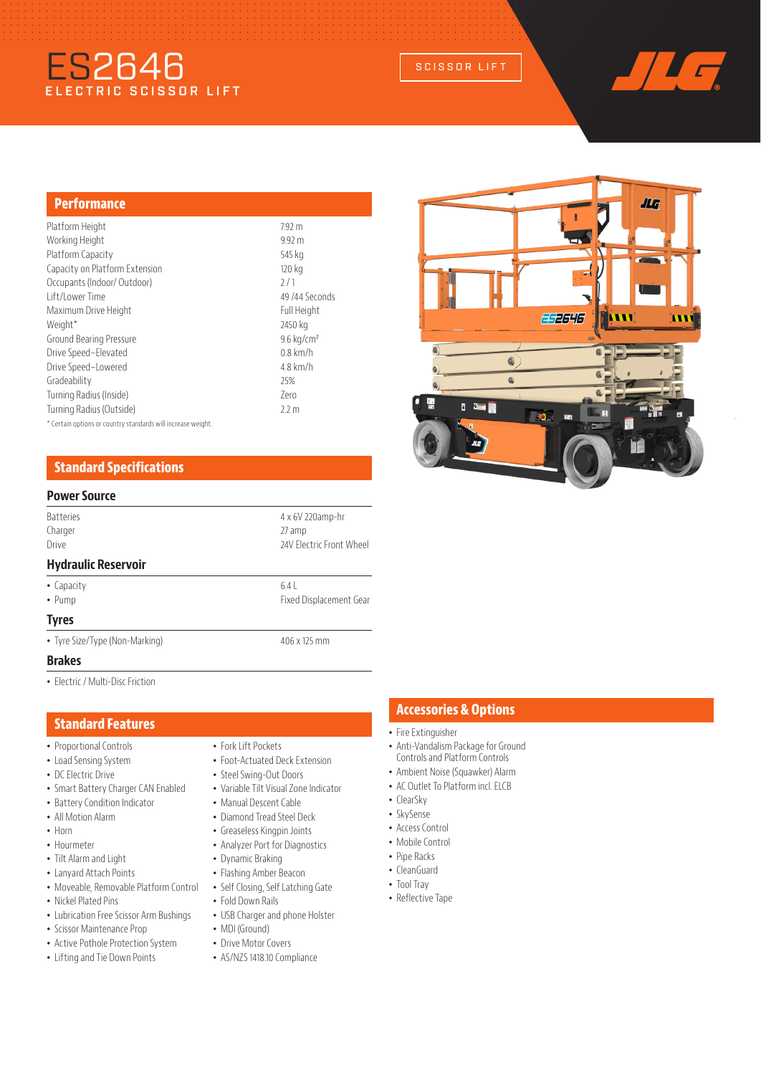# ES2646 SCISSOR LIFT



#### **Performance**

| Platform Height                                              | 7.92 m                |
|--------------------------------------------------------------|-----------------------|
| Working Height                                               | 9.92 m                |
| Platform Capacity                                            | 545 kg                |
| Capacity on Platform Extension                               | 120 kg                |
| Occupants (Indoor/ Outdoor)                                  | 7/1                   |
| Lift/Lower Time                                              | 49/44 Seconds         |
| Maximum Drive Height                                         | Full Height           |
| Weight*                                                      | 2450 kg               |
| Ground Bearing Pressure                                      | $9.6 \text{ kg/cm}^2$ |
| Drive Speed-Elevated                                         | $0.8$ km/h            |
| Drive Speed-Lowered                                          | $4.8$ km/h            |
| Gradeability                                                 | 25%                   |
| Turning Radius (Inside)                                      | 7ero                  |
| Turning Radius (Outside)                                     | 2.2 <sub>m</sub>      |
| * Certain options or country standards will increase weight. |                       |

# **Standard Specifications**

### **Power Source**

| 4 x 6V 220amp-hr<br>27 amp<br>24V Flectric Front Wheel |
|--------------------------------------------------------|
|                                                        |
| 6.4<br>Fixed Displacement Gear                         |
|                                                        |
| 406 x 125 mm                                           |
|                                                        |

#### **Brakes**

• Electric / Multi-Disc Friction

#### **Standard Features**

- Proportional Controls
- Load Sensing System
- DC Electric Drive
- Smart Battery Charger CAN Enabled
- Battery Condition Indicator
- All Motion Alarm
- Horn
- Hourmeter
- Tilt Alarm and Light
- Lanyard Attach Points
- Moveable, Removable Platform Control
- Nickel Plated Pins
- Lubrication Free Scissor Arm Bushings
- Scissor Maintenance Prop
- Active Pothole Protection System
- Lifting and Tie Down Points
- Fork Lift Pockets
- Foot-Actuated Deck Extension
- Steel Swing-Out Doors
- Variable Tilt Visual Zone Indicator
- Manual Descent Cable
- Diamond Tread Steel Deck
- Greaseless Kingpin Joints
- Analyzer Port for Diagnostics
- Dynamic Braking
- Flashing Amber Beacon
- Self Closing, Self Latching Gate
- Fold Down Rails
- USB Charger and phone Holster
- MDI (Ground)
- Drive Motor Covers
- 
- AS/NZS 1418.10 Compliance

## **Accessories & Options**

- Fire Extinguisher
- Anti-Vandalism Package for Ground Controls and Platform Controls
- Ambient Noise (Squawker) Alarm
- AC Outlet To Platform incl. ELCB
- ClearSky
- SkySense
- Access Control
- Mobile Control
- Pipe Racks
- CleanGuard
- Tool Tray
- Reflective Tape

ЛG FF2646 iw 'n  $\bf{0}$ Q **I bu**